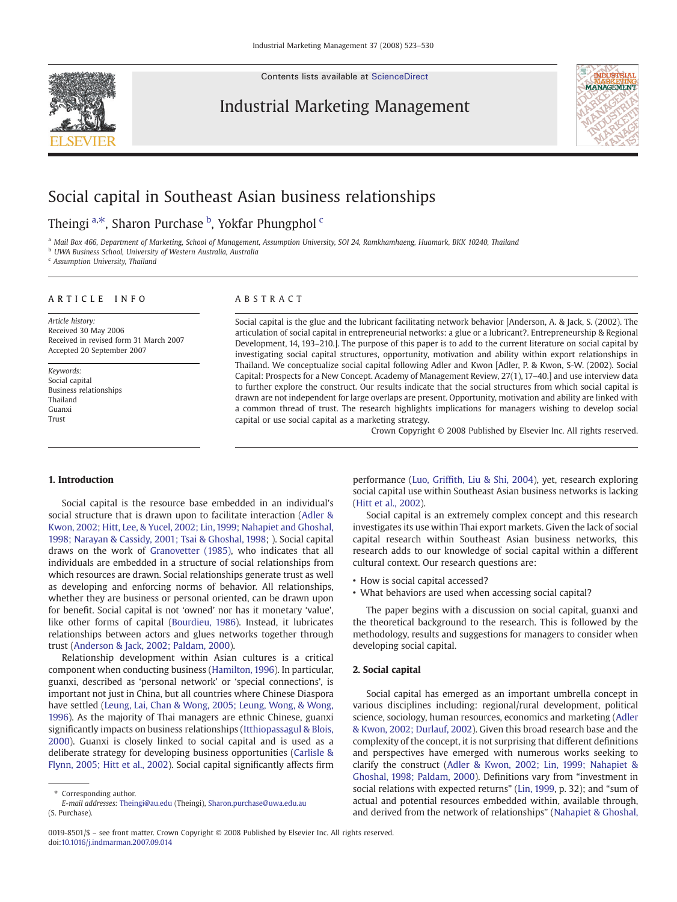Contents lists available at [ScienceDirect](http://www.sciencedirect.com/science/journal/00198501)

### Industrial Marketing Management



## Social capital in Southeast Asian business relationships

### Theingi <sup>a,\*</sup>, Sharon Purchase <sup>b</sup>, Yokfar Phungphol <sup>c</sup>

a Mail Box 466, Department of Marketing, School of Management, Assumption University, SOI 24, Ramkhamhaeng, Huamark, BKK 10240, Thailand

**b UWA Business School, University of Western Australia, Australia** 

<sup>c</sup> Assumption University, Thailand

### ARTICLE INFO ABSTRACT

Article history: Received 30 May 2006 Received in revised form 31 March 2007 Accepted 20 September 2007

Keywords: Social capital Business relationships Thailand Guanxi Trust

Social capital is the glue and the lubricant facilitating network behavior [Anderson, A. & Jack, S. (2002). The articulation of social capital in entrepreneurial networks: a glue or a lubricant?. Entrepreneurship & Regional Development, 14, 193–210.]. The purpose of this paper is to add to the current literature on social capital by investigating social capital structures, opportunity, motivation and ability within export relationships in Thailand. We conceptualize social capital following Adler and Kwon [Adler, P. & Kwon, S-W. (2002). Social Capital: Prospects for a New Concept. Academy of Management Review, 27(1), 17–40.] and use interview data to further explore the construct. Our results indicate that the social structures from which social capital is drawn are not independent for large overlaps are present. Opportunity, motivation and ability are linked with a common thread of trust. The research highlights implications for managers wishing to develop social capital or use social capital as a marketing strategy.

Crown Copyright © 2008 Published by Elsevier Inc. All rights reserved.

#### 1. Introduction

Social capital is the resource base embedded in an individual's social structure that is drawn upon to facilitate interaction ([Adler &](#page--1-0) [Kwon, 2002; Hitt, Lee, & Yucel, 2002; Lin, 1999; Nahapiet and Ghoshal,](#page--1-0) [1998; Narayan & Cassidy, 2001; Tsai & Ghoshal, 1998](#page--1-0); ). Social capital draws on the work of [Granovetter \(1985\)](#page--1-0), who indicates that all individuals are embedded in a structure of social relationships from which resources are drawn. Social relationships generate trust as well as developing and enforcing norms of behavior. All relationships, whether they are business or personal oriented, can be drawn upon for benefit. Social capital is not 'owned' nor has it monetary 'value', like other forms of capital [\(Bourdieu, 1986](#page--1-0)). Instead, it lubricates relationships between actors and glues networks together through trust [\(Anderson & Jack, 2002; Paldam, 2000](#page--1-0)).

Relationship development within Asian cultures is a critical component when conducting business [\(Hamilton, 1996](#page--1-0)). In particular, guanxi, described as 'personal network' or 'special connections', is important not just in China, but all countries where Chinese Diaspora have settled ([Leung, Lai, Chan & Wong, 2005; Leung, Wong, & Wong,](#page--1-0) [1996](#page--1-0)). As the majority of Thai managers are ethnic Chinese, guanxi significantly impacts on business relationships [\(Itthiopassagul & Blois,](#page--1-0) [2000](#page--1-0)). Guanxi is closely linked to social capital and is used as a deliberate strategy for developing business opportunities ([Carlisle &](#page--1-0) [Flynn, 2005; Hitt et al., 2002](#page--1-0)). Social capital significantly affects firm

performance (Luo, Griffi[th, Liu & Shi, 2004](#page--1-0)), yet, research exploring social capital use within Southeast Asian business networks is lacking [\(Hitt et al., 2002\)](#page--1-0).

Social capital is an extremely complex concept and this research investigates its use within Thai export markets. Given the lack of social capital research within Southeast Asian business networks, this research adds to our knowledge of social capital within a different cultural context. Our research questions are:

- How is social capital accessed?
- What behaviors are used when accessing social capital?

The paper begins with a discussion on social capital, guanxi and the theoretical background to the research. This is followed by the methodology, results and suggestions for managers to consider when developing social capital.

#### 2. Social capital

Social capital has emerged as an important umbrella concept in various disciplines including: regional/rural development, political science, sociology, human resources, economics and marketing ([Adler](#page--1-0) [& Kwon, 2002; Durlauf, 2002](#page--1-0)). Given this broad research base and the complexity of the concept, it is not surprising that different definitions and perspectives have emerged with numerous works seeking to clarify the construct ([Adler & Kwon, 2002; Lin, 1999; Nahapiet &](#page--1-0) [Ghoshal, 1998; Paldam, 2000\)](#page--1-0). Definitions vary from "investment in social relations with expected returns" ([Lin, 1999,](#page--1-0) p. 32); and "sum of actual and potential resources embedded within, available through, and derived from the network of relationships" ([Nahapiet & Ghoshal,](#page--1-0)

Corresponding author. E-mail addresses: [Theingi@au.edu](mailto:Theingi@au.edu) (Theingi), [Sharon.purchase@uwa.edu.au](mailto:Sharon.purchase@uwa.edu.au) (S. Purchase).

<sup>0019-8501/\$</sup> – see front matter. Crown Copyright © 2008 Published by Elsevier Inc. All rights reserved. doi:[10.1016/j.indmarman.2007.09.014](http://dx.doi.org/10.1016/j.indmarman.2007.09.014)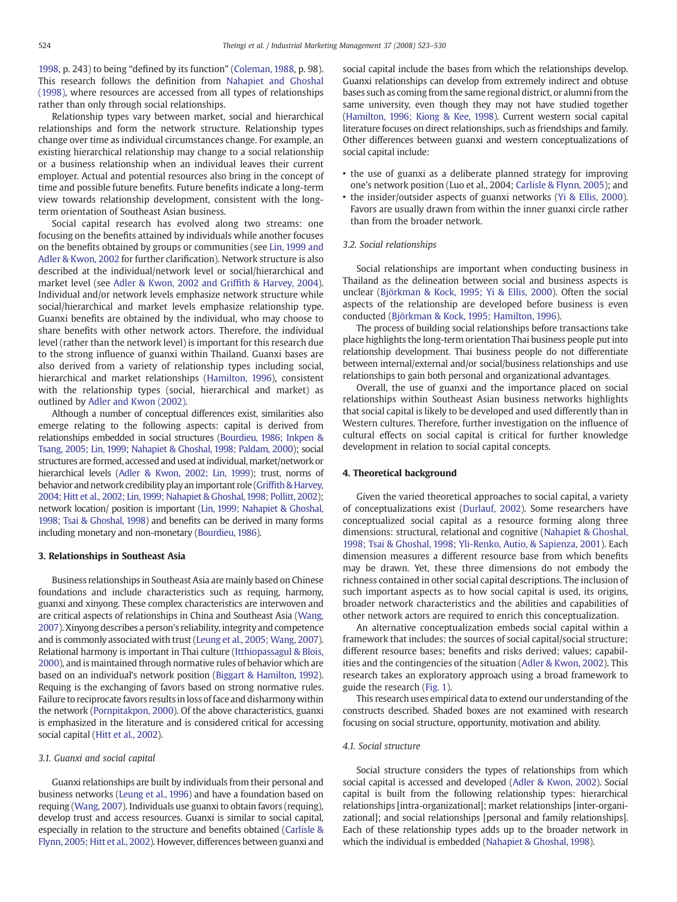[1998](#page--1-0), p. 243) to being "defined by its function" [\(Coleman, 1988,](#page--1-0) p. 98). This research follows the definition from [Nahapiet and Ghoshal](#page--1-0) [\(1998\)](#page--1-0), where resources are accessed from all types of relationships rather than only through social relationships.

Relationship types vary between market, social and hierarchical relationships and form the network structure. Relationship types change over time as individual circumstances change. For example, an existing hierarchical relationship may change to a social relationship or a business relationship when an individual leaves their current employer. Actual and potential resources also bring in the concept of time and possible future benefits. Future benefits indicate a long-term view towards relationship development, consistent with the longterm orientation of Southeast Asian business.

Social capital research has evolved along two streams: one focusing on the benefits attained by individuals while another focuses on the benefits obtained by groups or communities (see [Lin, 1999 and](#page--1-0) [Adler & Kwon, 2002](#page--1-0) for further clarification). Network structure is also described at the individual/network level or social/hierarchical and market level (see [Adler & Kwon, 2002 and Grif](#page--1-0)fith & Harvey, 2004). Individual and/or network levels emphasize network structure while social/hierarchical and market levels emphasize relationship type. Guanxi benefits are obtained by the individual, who may choose to share benefits with other network actors. Therefore, the individual level (rather than the network level) is important for this research due to the strong influence of guanxi within Thailand. Guanxi bases are also derived from a variety of relationship types including social, hierarchical and market relationships [\(Hamilton, 1996](#page--1-0)), consistent with the relationship types (social, hierarchical and market) as outlined by [Adler and Kwon \(2002\)](#page--1-0).

Although a number of conceptual differences exist, similarities also emerge relating to the following aspects: capital is derived from relationships embedded in social structures [\(Bourdieu, 1986; Inkpen &](#page--1-0) [Tsang, 2005; Lin, 1999; Nahapiet & Ghoshal, 1998; Paldam, 2000\)](#page--1-0); social structures are formed, accessed and used at individual, market/network or hierarchical levels ([Adler & Kwon, 2002; Lin, 1999\)](#page--1-0); trust, norms of behavior and network credibility play an important role (Griffi[th & Harvey,](#page--1-0) [2004; Hitt et al., 2002; Lin, 1999; Nahapiet & Ghoshal,1998; Pollitt, 2002](#page--1-0)); network location/ position is important [\(Lin, 1999; Nahapiet & Ghoshal,](#page--1-0) [1998; Tsai & Ghoshal, 1998](#page--1-0)) and benefits can be derived in many forms including monetary and non-monetary [\(Bourdieu, 1986\)](#page--1-0).

#### 3. Relationships in Southeast Asia

Business relationships in Southeast Asia are mainly based on Chinese foundations and include characteristics such as requing, harmony, guanxi and xinyong. These complex characteristics are interwoven and are critical aspects of relationships in China and Southeast Asia [\(Wang,](#page--1-0) [2007\)](#page--1-0). Xinyong describes a person's reliability, integrity and competence and is commonly associated with trust ([Leung et al., 2005; Wang, 2007](#page--1-0)). Relational harmony is important in Thai culture ([Itthiopassagul & Blois,](#page--1-0) [2000](#page--1-0)), and is maintained through normative rules of behavior which are based on an individual's network position [\(Biggart & Hamilton, 1992](#page--1-0)). Requing is the exchanging of favors based on strong normative rules. Failure to reciprocate favors results in loss of face and disharmony within the network [\(Pornpitakpon, 2000\)](#page--1-0). Of the above characteristics, guanxi is emphasized in the literature and is considered critical for accessing social capital [\(Hitt et al., 2002\)](#page--1-0).

#### 3.1. Guanxi and social capital

Guanxi relationships are built by individuals from their personal and business networks ([Leung et al., 1996\)](#page--1-0) and have a foundation based on requing [\(Wang, 2007\)](#page--1-0). Individuals use guanxi to obtain favors (requing), develop trust and access resources. Guanxi is similar to social capital, especially in relation to the structure and benefits obtained [\(Carlisle &](#page--1-0) [Flynn, 2005; Hitt et al., 2002\)](#page--1-0). However, differences between guanxi and social capital include the bases from which the relationships develop. Guanxi relationships can develop from extremely indirect and obtuse bases such as coming from the same regional district, or alumni from the same university, even though they may not have studied together [\(Hamilton, 1996; Kiong & Kee, 1998\)](#page--1-0). Current western social capital literature focuses on direct relationships, such as friendships and family. Other differences between guanxi and western conceptualizations of social capital include:

- the use of guanxi as a deliberate planned strategy for improving one's network position (Luo et al., 2004; [Carlisle & Flynn, 2005\)](#page--1-0); and
- the insider/outsider aspects of guanxi networks ([Yi & Ellis, 2000](#page--1-0)). Favors are usually drawn from within the inner guanxi circle rather than from the broader network.

#### 3.2. Social relationships

Social relationships are important when conducting business in Thailand as the delineation between social and business aspects is unclear ([Björkman & Kock, 1995; Yi & Ellis, 2000\)](#page--1-0). Often the social aspects of the relationship are developed before business is even conducted ([Björkman & Kock, 1995; Hamilton, 1996\)](#page--1-0).

The process of building social relationships before transactions take place highlights the long-term orientation Thai business people put into relationship development. Thai business people do not differentiate between internal/external and/or social/business relationships and use relationships to gain both personal and organizational advantages.

Overall, the use of guanxi and the importance placed on social relationships within Southeast Asian business networks highlights that social capital is likely to be developed and used differently than in Western cultures. Therefore, further investigation on the influence of cultural effects on social capital is critical for further knowledge development in relation to social capital concepts.

#### 4. Theoretical background

Given the varied theoretical approaches to social capital, a variety of conceptualizations exist [\(Durlauf, 2002](#page--1-0)). Some researchers have conceptualized social capital as a resource forming along three dimensions: structural, relational and cognitive ([Nahapiet & Ghoshal,](#page--1-0) [1998; Tsai & Ghoshal, 1998; Yli-Renko, Autio, & Sapienza, 2001\)](#page--1-0). Each dimension measures a different resource base from which benefits may be drawn. Yet, these three dimensions do not embody the richness contained in other social capital descriptions. The inclusion of such important aspects as to how social capital is used, its origins, broader network characteristics and the abilities and capabilities of other network actors are required to enrich this conceptualization.

An alternative conceptualization embeds social capital within a framework that includes: the sources of social capital/social structure; different resource bases; benefits and risks derived; values; capabilities and the contingencies of the situation [\(Adler & Kwon, 2002](#page--1-0)). This research takes an exploratory approach using a broad framework to guide the research [\(Fig. 1](#page--1-0)).

This research uses empirical data to extend our understanding of the constructs described. Shaded boxes are not examined with research focusing on social structure, opportunity, motivation and ability.

#### 4.1. Social structure

Social structure considers the types of relationships from which social capital is accessed and developed [\(Adler & Kwon, 2002\)](#page--1-0). Social capital is built from the following relationship types: hierarchical relationships [intra-organizational]; market relationships [inter-organizational]; and social relationships [personal and family relationships]. Each of these relationship types adds up to the broader network in which the individual is embedded ([Nahapiet & Ghoshal, 1998\)](#page--1-0).